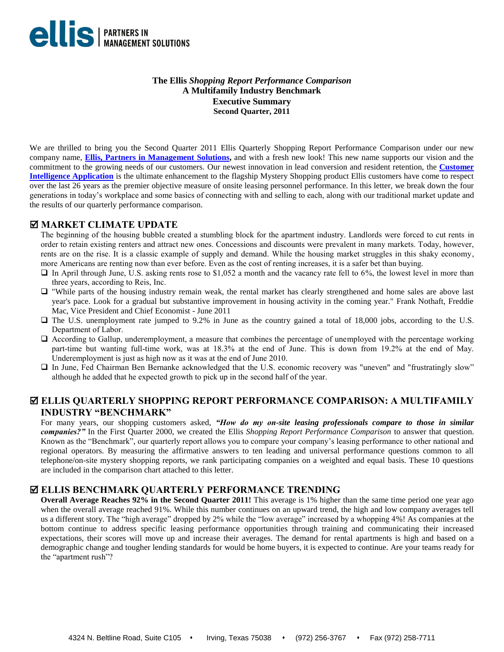

**The Ellis** *Shopping Report Performance Comparison* **A Multifamily Industry Benchmark Executive Summary Second Quarter, 2011**

We are thrilled to bring you the Second Quarter 2011 Ellis Quarterly Shopping Report Performance Comparison under our new company name, **[Ellis, Partners in Management Solutions,](http://www.epmsonline.com/)** and with a fresh new look! This new name supports our vision and the commitment to the growing needs of our customers. Our newest innovation in lead conversion and resident retention, the **[Customer](https://www.epmsonline.com/-assets/docs/CustomerIntelligenceBrochure.pdf)  [Intelligence Application](https://www.epmsonline.com/-assets/docs/CustomerIntelligenceBrochure.pdf)** is the ultimate enhancement to the flagship Mystery Shopping product Ellis customers have come to respect over the last 26 years as the premier objective measure of onsite leasing personnel performance. In this letter, we break down the four generations in today's workplace and some basics of connecting with and selling to each, along with our traditional market update and the results of our quarterly performance comparison.

## **MARKET CLIMATE UPDATE**

The beginning of the housing bubble created a stumbling block for the apartment industry. Landlords were forced to cut rents in order to retain existing renters and attract new ones. Concessions and discounts were prevalent in many markets. Today, however, rents are on the rise. It is a classic example of supply and demand. While the housing market struggles in this shaky economy, more Americans are renting now than ever before. Even as the cost of renting increases, it is a safer bet than buying.

- $\Box$  In April through June, U.S. asking rents rose to \$1,052 a month and the vacancy rate fell to 6%, the lowest level in more than three years, according to Reis, Inc.
- "While parts of the housing industry remain weak, the rental market has clearly strengthened and home sales are above last year's pace. Look for a gradual but substantive improvement in housing activity in the coming year." Frank Nothaft, Freddie Mac, Vice President and Chief Economist - June 2011
- The U.S. unemployment rate jumped to 9.2% in June as the country gained a total of 18,000 jobs, according to the U.S. Department of Labor.
- According to Gallup, underemployment, a measure that combines the percentage of unemployed with the percentage working part-time but wanting full-time work, was at 18.3% at the end of June. This is down from 19.2% at the end of May. Underemployment is just as high now as it was at the end of June 2010.
- In June, Fed Chairman Ben Bernanke acknowledged that the U.S. economic recovery was "uneven" and "frustratingly slow" although he added that he expected growth to pick up in the second half of the year.

## **ELLIS QUARTERLY SHOPPING REPORT PERFORMANCE COMPARISON: A MULTIFAMILY INDUSTRY "BENCHMARK"**

For many years, our shopping customers asked, *"How do my on-site leasing professionals compare to those in similar companies?"* In the First Quarter 2000, we created the Ellis *Shopping Report Performance Comparison* to answer that question. Known as the "Benchmark", our quarterly report allows you to compare your company's leasing performance to other national and regional operators. By measuring the affirmative answers to ten leading and universal performance questions common to all telephone/on-site mystery shopping reports, we rank participating companies on a weighted and equal basis. These 10 questions are included in the comparison chart attached to this letter.

#### **ELLIS BENCHMARK QUARTERLY PERFORMANCE TRENDING**

**Overall Average Reaches 92% in the Second Quarter 2011!** This average is 1% higher than the same time period one year ago when the overall average reached 91%. While this number continues on an upward trend, the high and low company averages tell us a different story. The "high average" dropped by 2% while the "low average" increased by a whopping 4%! As companies at the bottom continue to address specific leasing performance opportunities through training and communicating their increased expectations, their scores will move up and increase their averages. The demand for rental apartments is high and based on a demographic change and tougher lending standards for would be home buyers, it is expected to continue. Are your teams ready for the "apartment rush"?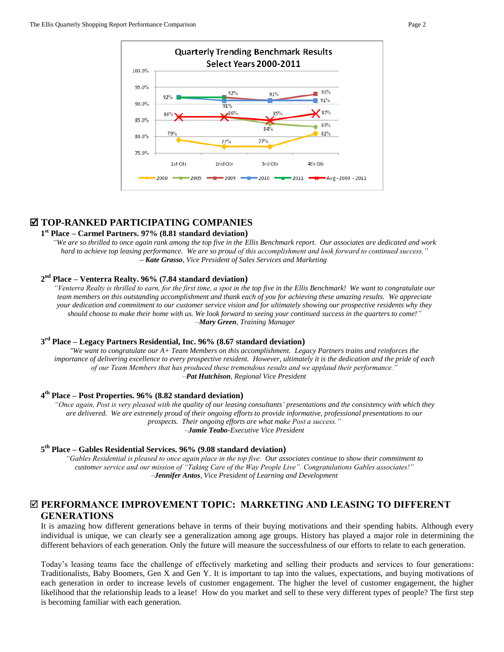

## **TOP-RANKED PARTICIPATING COMPANIES**

### **1 st Place – Carmel Partners. 97% (8.81 standard deviation)**

*"We are so thrilled to once again rank among the top five in the Ellis Benchmark report. Our associates are dedicated and work hard to achieve top leasing performance. We are so proud of this accomplishment and look forward to continued success." – Kate Grasso, Vice President of Sales Services and Marketing*

#### **2 nd Place – Venterra Realty. 96% (7.84 standard deviation)**

*"Venterra Realty is thrilled to earn, for the first time, a spot in the top five in the Ellis Benchmark! We want to congratulate our team members on this outstanding accomplishment and thank each of you for achieving these amazing results. We appreciate your dedication and commitment to our customer service vision and for ultimately showing our prospective residents why they should choose to make their home with us. We look forward to seeing your continued success in the quarters to come!" –Mary Green, Training Manager* 

#### **3 rd Place – Legacy Partners Residential, Inc. 96% (8.67 standard deviation)**

*"We want to congratulate our A+ Team Members on this accomplishment. Legacy Partners trains and reinforces the importance of delivering excellence to every prospective resident. However, ultimately it is the dedication and the pride of each of our Team Members that has produced these tremendous results and we applaud their performance." –Pat Hutchison, Regional Vice President*

#### **4 th Place – Post Properties. 96% (8.82 standard deviation)**

*"Once again, Post is very pleased with the quality of our leasing consultants' presentations and the consistency with which they are delivered. We are extremely proud of their ongoing efforts to provide informative, professional presentations to our prospects. Their ongoing efforts are what make Post a success." –Jamie Teabo-Executive Vice President*

#### **5 th Place – Gables Residential Services. 96% (9.08 standard deviation)**

*"Gables Residential is pleased to once again place in the top five. Our associates continue to show their commitment to customer service and our mission of "Taking Care of the Way People Live". Congratulations Gables associates!" –Jennifer Antos, Vice President of Learning and Development*

## **PERFORMANCE IMPROVEMENT TOPIC: MARKETING AND LEASING TO DIFFERENT GENERATIONS**

It is amazing how different generations behave in terms of their buying motivations and their spending habits. Although every individual is unique, we can clearly see a generalization among age groups. History has played a major role in determining the different behaviors of each generation. Only the future will measure the successfulness of our efforts to relate to each generation.

Today's leasing teams face the challenge of effectively marketing and selling their products and services to four generations: Traditionalists, Baby Boomers, Gen X and Gen Y. It is important to tap into the values, expectations, and buying motivations of each generation in order to increase levels of customer engagement. The higher the level of customer engagement, the higher likelihood that the relationship leads to a lease! How do you market and sell to these very different types of people? The first step is becoming familiar with each generation.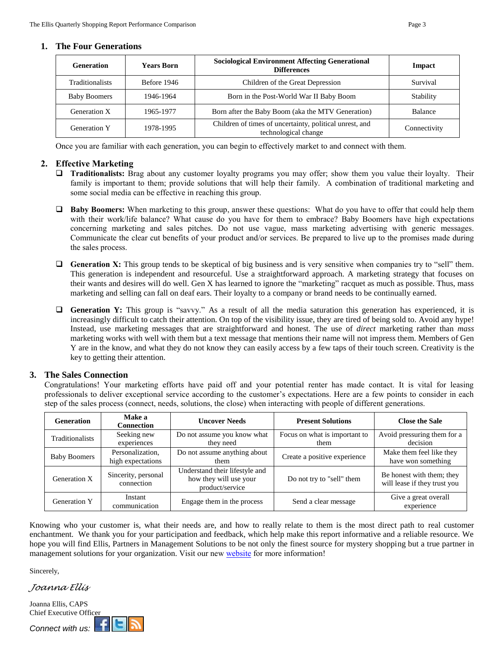#### **1. The Four Generations**

| <b>Generation</b>      | <b>Years Born</b> | <b>Sociological Environment Affecting Generational</b><br><b>Differences</b>    | Impact         |
|------------------------|-------------------|---------------------------------------------------------------------------------|----------------|
| <b>Traditionalists</b> | Before 1946       | Children of the Great Depression                                                | Survival       |
| <b>Baby Boomers</b>    | 1946-1964         | Born in the Post-World War II Baby Boom                                         | Stability      |
| Generation X           | 1965-1977         | Born after the Baby Boom (aka the MTV Generation)                               | <b>Balance</b> |
| <b>Generation Y</b>    | 1978-1995         | Children of times of uncertainty, political unrest, and<br>technological change | Connectivity   |

Once you are familiar with each generation, you can begin to effectively market to and connect with them.

#### **2. Effective Marketing**

- **Traditionalists:** Brag about any customer loyalty programs you may offer; show them you value their loyalty. Their family is important to them; provide solutions that will help their family. A combination of traditional marketing and some social media can be effective in reaching this group.
- **Baby Boomers:** When marketing to this group, answer these questions: What do you have to offer that could help them with their work/life balance? What cause do you have for them to embrace? Baby Boomers have high expectations concerning marketing and sales pitches. Do not use vague, mass marketing advertising with generic messages. Communicate the clear cut benefits of your product and/or services. Be prepared to live up to the promises made during the sales process.
- Generation X: This group tends to be skeptical of big business and is very sensitive when companies try to "sell" them. This generation is independent and resourceful. Use a straightforward approach. A marketing strategy that focuses on their wants and desires will do well. Gen X has learned to ignore the "marketing" racquet as much as possible. Thus, mass marketing and selling can fall on deaf ears. Their loyalty to a company or brand needs to be continually earned.
- **Generation Y:** This group is "savvy." As a result of all the media saturation this generation has experienced, it is increasingly difficult to catch their attention. On top of the visibility issue, they are tired of being sold to. Avoid any hype! Instead, use marketing messages that are straightforward and honest. The use of *direct* marketing rather than *mass* marketing works with well with them but a text message that mentions their name will not impress them. Members of Gen Y are in the know, and what they do not know they can easily access by a few taps of their touch screen. Creativity is the key to getting their attention.

#### **3. The Sales Connection**

Congratulations! Your marketing efforts have paid off and your potential renter has made contact. It is vital for leasing professionals to deliver exceptional service according to the customer's expectations. Here are a few points to consider in each step of the sales process (connect, needs, solutions, the close) when interacting with people of different generations.

| <b>Generation</b>   | Make a<br><b>Connection</b>           | <b>Uncover Needs</b>                                                        | <b>Present Solutions</b>              | <b>Close the Sale</b>                                     |  |  |
|---------------------|---------------------------------------|-----------------------------------------------------------------------------|---------------------------------------|-----------------------------------------------------------|--|--|
| Traditionalists     | Seeking new<br>experiences            | Do not assume you know what<br>they need                                    | Focus on what is important to<br>them | Avoid pressuring them for a<br>decision                   |  |  |
| <b>Baby Boomers</b> | Personalization,<br>high expectations | Do not assume anything about<br>them                                        | Create a positive experience          | Make them feel like they<br>have won something            |  |  |
| Generation X        | Sincerity, personal<br>connection     | Understand their lifestyle and<br>how they will use your<br>product/service | Do not try to "sell" them             | Be honest with them; they<br>will lease if they trust you |  |  |
| Generation Y        | Instant<br>communication              | Engage them in the process                                                  | Send a clear message                  | Give a great overall<br>experience                        |  |  |

Knowing who your customer is, what their needs are, and how to really relate to them is the most direct path to real customer enchantment. We thank you for your participation and feedback, which help make this report informative and a reliable resource. We hope you will find Ellis, Partners in Management Solutions to be not only the finest source for mystery shopping but a true partner in management solutions for your organization. Visit our new [website](http://www.epmsonline.com/) for more information!

Sincerely,

*Joanna Ellis*

Joanna Ellis, CAPS Chief Executive Officer

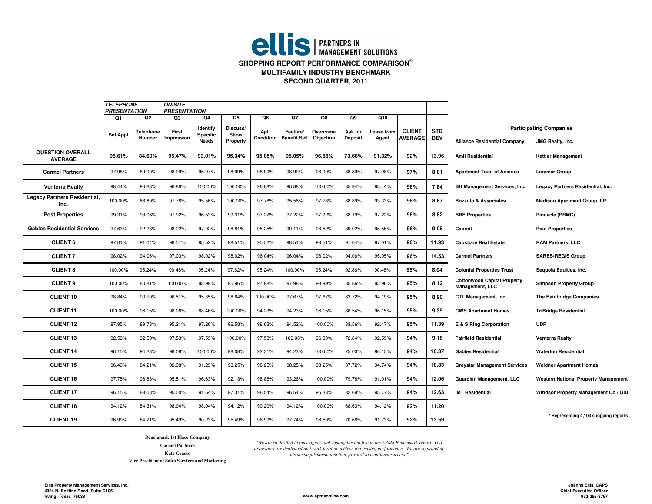## **ellis** | PARTNERS IN **SHOPPING REPORT PERFORMANCE COMPARISON MULTIFAMILY INDUSTRY BENCHMARKSECOND QUARTER, 2011**

|                                      | <b>TELEPHONE</b><br><b>PRESENTATION</b> |                                  | <b>ON-SITE</b><br><b>PRESENTATION</b> |                                            |                                    |                         |                                       |                             |                                 |                           |                                 |                          |                                                       |                                                           |
|--------------------------------------|-----------------------------------------|----------------------------------|---------------------------------------|--------------------------------------------|------------------------------------|-------------------------|---------------------------------------|-----------------------------|---------------------------------|---------------------------|---------------------------------|--------------------------|-------------------------------------------------------|-----------------------------------------------------------|
|                                      | Q1<br><b>Set Appt</b>                   | Q2<br>Telephone<br><b>Number</b> | Q3<br>First<br>Impression             | Q4<br>Identify<br>Specific<br><b>Needs</b> | Q5<br>Discuss/<br>Show<br>Property | Q6<br>Apt.<br>Condition | Q7<br>Feature/<br><b>Benefit Sell</b> | Q8<br>Overcome<br>Objection | Q9<br>Ask for<br><b>Deposit</b> | Q10<br>ease from<br>Agent | <b>CLIENT</b><br><b>AVERAGE</b> | <b>STD</b><br><b>DEV</b> | <b>Alliance Residential Company</b>                   | <b>Participating Companies</b><br><b>JMG Realty, Inc.</b> |
| QUESTION OVERALL<br><b>AVERAGE</b>   | 95.61%                                  | 84.60%                           | 95.47%                                | 93.01%                                     | 95.34%                             | 95.05%                  | 95.05%                                | 96.88%                      | 73.68%                          | 91.32%                    | 92%                             | 13.96                    | <b>Amli Residential</b>                               | <b>Kettler Management</b>                                 |
| <b>Carmel Partners</b>               | 97.98%                                  | 89.90%                           | 98.99%                                | 96.97%                                     | 98.99%                             | 98.99%                  | 98.99%                                | 98.99%                      | 88.89%                          | 97.98%                    | 97%                             | 8.81                     | <b>Apartment Trust of America</b>                     | <b>Laramar Group</b>                                      |
| <b>Venterra Realty</b>               | 98.44%                                  | 90.63%                           | 96.88%                                | 100.00%                                    | 100.00%                            | 96.88%                  | 96.88%                                | 100.00%                     | 85.94%                          | 98.44%                    | 96%                             | 7.84                     | <b>BH Management Services, Inc.</b>                   | Legacy Partners Residential, Inc.                         |
| Legacy Partners Residential,<br>Inc. | 100.00%                                 | 88.89%                           | 97.78%                                | 95.56%                                     | 100.00%                            | 97.78%                  | 95.56%                                | 97.78%                      | 88.89%                          | 93.33%                    | 96%                             | 8.67                     | <b>Bozzuto &amp; Associates</b>                       | <b>Madison Apartment Group, LP</b>                        |
| <b>Post Properties</b>               | 99.31%                                  | 93.06%                           | 97.92%                                | 96.53%                                     | 99.31%                             | 97.22%                  | 97.22%                                | 97.92%                      | 88.19%                          | 97.22%                    | 96%                             | 8.82                     | <b>BRE Properties</b>                                 | Pinnacle (PRMC)                                           |
| <b>Gables Residential Services</b>   | 97.63%                                  | 92.28%                           | 98.22%                                | 97.92%                                     | 98.81%                             | 95.25%                  | 99.11%                                | 98.52%                      | 89.02%                          | 95.55%                    | 96%                             | 9.08                     | Capreit                                               | <b>Post Properties</b>                                    |
| <b>CLIENT 6</b>                      | 97.01%                                  | 91.04%                           | 98.51%                                | 95.52%                                     | 98.51%                             | 95.52%                  | 98.51%                                | 98.51%                      | 91.04%                          | 97.01%                    | 96%                             | 11.93                    | <b>Capstone Real Estate</b>                           | <b>RAM Partners, LLC</b>                                  |
| <b>CLIENT 7</b>                      | 98.02%                                  | 94.06%                           | 97.03%                                | 98.02%                                     | 98.02%                             | 96.04%                  | 96.04%                                | 98.02%                      | 94.06%                          | 95.05%                    | 96%                             | 14.53                    | <b>Carmel Partners</b>                                | <b>SARES-REGIS Group</b>                                  |
| <b>CLIENT 8</b>                      | 100.00%                                 | 95.24%                           | 90.48%                                | 95.24%                                     | 97.62%                             | 95.24%                  | 100.00%                               | 95.24%                      | 92.86%                          | 90.48%                    | 95%                             | 8.04                     | <b>Colonial Properties Trust</b>                      | Sequoia Equities, Inc.                                    |
| <b>CLIENT 9</b>                      | 100.00%                                 | 80.81%                           | 100.00%                               | 98.99%                                     | 95.96%                             | 97.98%                  | 97.98%                                | 98.99%                      | 85.86%                          | 95.96%                    | 95%                             | 8.12                     | <b>Cottonwood Capital Property</b><br>Management, LLC | <b>Simpson Property Group</b>                             |
| <b>CLIENT 10</b>                     | 98.84%                                  | 90.70%                           | 96.51%                                | 95.35%                                     | 98.84%                             | 100.00%                 | 97.67%                                | 97.67%                      | 83.72%                          | 94.19%                    | 95%                             | 8.90                     | CTL Management, Inc.                                  | The Bainbridge Companies                                  |
| <b>CLIENT 11</b>                     | 100.00%                                 | 96.15%                           | 98.08%                                | 88.46%                                     | 100.00%                            | 94.23%                  | 94.23%                                | 96.15%                      | 86.54%                          | 96.15%                    | 95%                             | 9.39                     | <b>CWS Apartment Homes</b>                            | <b>TriBridge Residential</b>                              |
| <b>CLIENT 12</b>                     | 97.95%                                  | 89.73%                           | 95.21%                                | 97.26%                                     | 96.58%                             | 98.63%                  | 94.52%                                | 100.00%                     | 83.56%                          | 92.47%                    | 95%                             | 11.39                    | E & S Ring Corporation                                | <b>UDR</b>                                                |
| <b>CLIENT 13</b>                     | 92.59%                                  | 92.59%                           | 97.53%                                | 97.53%                                     | 100.00%                            | 97.53%                  | 100.00%                               | 96.30%                      | 72.84%                          | 92.59%                    | 94%                             | 9.18                     | <b>Fairfield Residential</b>                          | <b>Venterra Realty</b>                                    |
| <b>CLIENT 14</b>                     | 96.15%                                  | 94.23%                           | 98.08%                                | 100.00%                                    | 98.08%                             | 92.31%                  | 94.23%                                | 100.00%                     | 75.00%                          | 96.15%                    | 94%                             | 10.37                    | <b>Gables Residential</b>                             | <b>Waterton Residential</b>                               |
| <b>CLIENT 15</b>                     | 96.49%                                  | 84.21%                           | 92.98%                                | 91.23%                                     | 98.25%                             | 98.25%                  | 98.25%                                | 98.25%                      | 87.72%                          | 94.74%                    | 94%                             | 10.83                    | <b>Greystar Management Services</b>                   | <b>Weidner Apartment Homes</b>                            |
| <b>CLIENT 16</b>                     | 97.75%                                  | 98.88%                           | 95.51%                                | 96.63%                                     | 92.13%                             | 98.88%                  | 93.26%                                | 100.00%                     | 79.78%                          | 91.01%                    | 94%                             | 12.06                    | Guardian Management, LLC                              | <b>Western National Property Management</b>               |
| <b>CLIENT 17</b>                     | 96.15%                                  | 88.08%                           | 95.00%                                | 91.54%                                     | 97.31%                             | 96.54%                  | 96.54%                                | 95.38%                      | 82.69%                          | 95.77%                    | 94%                             | 12.63                    | <b>IMT Residential</b>                                | Windsor Property Management Co / GID                      |
| <b>CLIENT 18</b>                     | 94.12%                                  | 84.31%                           | 98.04%                                | 98.04%                                     | 94.12%                             | 90.20%                  | 94.12%                                | 100.00%                     | 68.63%                          | 94.12%                    | 92%                             | 11.20                    |                                                       |                                                           |
| <b>CLIENT 19</b>                     | 96.99%                                  | 84.21%                           | 95.49%                                | 90.23%                                     | 95.49%                             | 96.99%                  | 97.74%                                | 98.50%                      | 70.68%                          | 91.73%                    | 92%                             | 13.59                    |                                                       | * Representing 4,103 shopping reports                     |

**Benchmark 1st Place Company**

**Carmel PartnersKate Grasso**

**Vice President of Sales Services and Marketing**

*"We are so thrilled to once again rank among the top five in the EPMS Benchmark report. Our associates are dedicated and work hard to achieve top leasing performance. We are so proud of this accomplishment and look forward to continued success."*